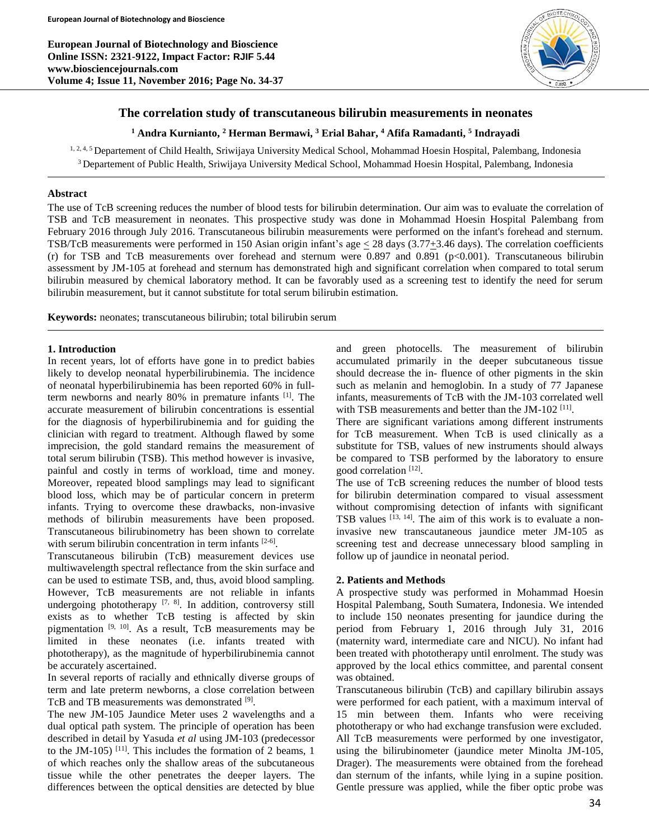**European Journal of Biotechnology and Bioscience Online ISSN: 2321-9122, Impact Factor: RJIF 5.44 www.biosciencejournals.com Volume 4; Issue 11, November 2016; Page No. 34-37**



# **The correlation study of transcutaneous bilirubin measurements in neonates**

# **<sup>1</sup> Andra Kurnianto, <sup>2</sup> Herman Bermawi, <sup>3</sup> Erial Bahar, <sup>4</sup> Afifa Ramadanti, 5 Indrayadi**

<sup>1, 2, 4, 5</sup> Departement of Child Health, Sriwijaya University Medical School, Mohammad Hoesin Hospital, Palembang, Indonesia <sup>3</sup> Departement of Public Health, Sriwijaya University Medical School, Mohammad Hoesin Hospital, Palembang, Indonesia

# **Abstract**

The use of TcB screening reduces the number of blood tests for bilirubin determination. Our aim was to evaluate the correlation of TSB and TcB measurement in neonates. This prospective study was done in Mohammad Hoesin Hospital Palembang from February 2016 through July 2016. Transcutaneous bilirubin measurements were performed on the infant's forehead and sternum. TSB/TcB measurements were performed in 150 Asian origin infant's age  $\leq$  28 days (3.77 $\pm$ 3.46 days). The correlation coefficients (r) for TSB and TcB measurements over forehead and sternum were 0.897 and 0.891 (p<0.001). Transcutaneous bilirubin assessment by JM-105 at forehead and sternum has demonstrated high and significant correlation when compared to total serum bilirubin measured by chemical laboratory method. It can be favorably used as a screening test to identify the need for serum bilirubin measurement, but it cannot substitute for total serum bilirubin estimation.

**Keywords:** neonates; transcutaneous bilirubin; total bilirubin serum

### **1. Introduction**

In recent years, lot of efforts have gone in to predict babies likely to develop neonatal hyperbilirubinemia. The incidence of neonatal hyperbilirubinemia has been reported 60% in fullterm newborns and nearly 80% in premature infants [1] . The accurate measurement of bilirubin concentrations is essential for the diagnosis of hyperbilirubinemia and for guiding the clinician with regard to treatment. Although flawed by some imprecision, the gold standard remains the measurement of total serum bilirubin (TSB). This method however is invasive, painful and costly in terms of workload, time and money. Moreover, repeated blood samplings may lead to significant blood loss, which may be of particular concern in preterm infants. Trying to overcome these drawbacks, non-invasive methods of bilirubin measurements have been proposed. Transcutaneous bilirubinometry has been shown to correlate with serum bilirubin concentration in term infants [2-6].

Transcutaneous bilirubin (TcB) measurement devices use multiwavelength spectral reflectance from the skin surface and can be used to estimate TSB, and, thus, avoid blood sampling. However, TcB measurements are not reliable in infants undergoing phototherapy  $[7, 8]$ . In addition, controversy still exists as to whether TcB testing is affected by skin pigmentation  $[9, 10]$ . As a result, TcB measurements may be limited in these neonates (i.e. infants treated with phototherapy), as the magnitude of hyperbilirubinemia cannot be accurately ascertained.

In several reports of racially and ethnically diverse groups of term and late preterm newborns, a close correlation between TcB and TB measurements was demonstrated [9].

The new JM-105 Jaundice Meter uses 2 wavelengths and a dual optical path system. The principle of operation has been described in detail by Yasuda *et al* using JM-103 (predecessor to the JM-105)<sup>[11]</sup>. This includes the formation of 2 beams, 1 of which reaches only the shallow areas of the subcutaneous tissue while the other penetrates the deeper layers. The differences between the optical densities are detected by blue

and green photocells. The measurement of bilirubin accumulated primarily in the deeper subcutaneous tissue should decrease the in- fluence of other pigments in the skin such as melanin and hemoglobin. In a study of 77 Japanese infants, measurements of TcB with the JM-103 correlated well with TSB measurements and better than the JM-102<sup>[11]</sup>.

There are significant variations among different instruments for TcB measurement. When TcB is used clinically as a substitute for TSB, values of new instruments should always be compared to TSB performed by the laboratory to ensure good correlation<sup>[12]</sup>.

The use of TcB screening reduces the number of blood tests for bilirubin determination compared to visual assessment without compromising detection of infants with significant TSB values [13, 14]. The aim of this work is to evaluate a noninvasive new transcautaneous jaundice meter JM-105 as screening test and decrease unnecessary blood sampling in follow up of jaundice in neonatal period.

# **2. Patients and Methods**

A prospective study was performed in Mohammad Hoesin Hospital Palembang, South Sumatera, Indonesia. We intended to include 150 neonates presenting for jaundice during the period from February 1, 2016 through July 31, 2016 (maternity ward, intermediate care and NICU). No infant had been treated with phototherapy until enrolment. The study was approved by the local ethics committee, and parental consent was obtained.

Transcutaneous bilirubin (TcB) and capillary bilirubin assays were performed for each patient, with a maximum interval of 15 min between them. Infants who were receiving phototherapy or who had exchange transfusion were excluded. All TcB measurements were performed by one investigator, using the bilirubinometer (jaundice meter Minolta JM-105, Drager). The measurements were obtained from the forehead dan sternum of the infants, while lying in a supine position. Gentle pressure was applied, while the fiber optic probe was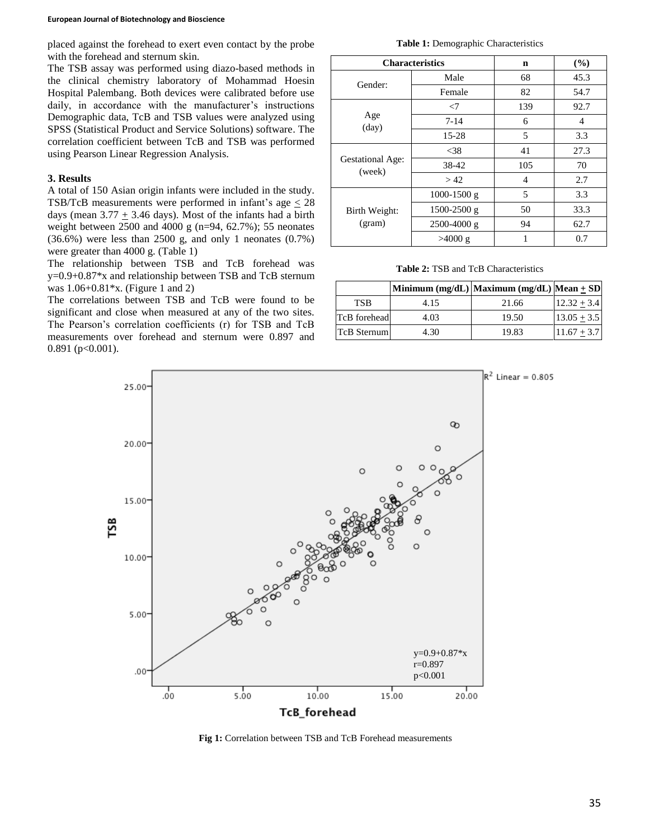#### **European Journal of Biotechnology and Bioscience**

placed against the forehead to exert even contact by the probe with the forehead and sternum skin.

The TSB assay was performed using diazo-based methods in the clinical chemistry laboratory of Mohammad Hoesin Hospital Palembang. Both devices were calibrated before use daily, in accordance with the manufacturer's instructions Demographic data, TcB and TSB values were analyzed using SPSS (Statistical Product and Service Solutions) software. The correlation coefficient between TcB and TSB was performed using Pearson Linear Regression Analysis.

#### **3. Results**

A total of 150 Asian origin infants were included in the study. TSB/TcB measurements were performed in infant's age  $\leq 28$ days (mean  $3.77 + 3.46$  days). Most of the infants had a birth weight between 2500 and 4000 g (n=94, 62.7%); 55 neonates  $(36.6%)$  were less than 2500 g, and only 1 neonates  $(0.7%)$ were greater than 4000 g. (Table 1)

The relationship between TSB and TcB forehead was y=0.9+0.87\*x and relationship between TSB and TcB sternum was 1.06+0.81\*x. (Figure 1 and 2)

The correlations between TSB and TcB were found to be significant and close when measured at any of the two sites. The Pearson's correlation coefficients (r) for TSB and TcB measurements over forehead and sternum were 0.897 and  $0.891$  (p<0.001).

**Table 1:** Demographic Characteristics

| <b>Characteristics</b>            |                 | n   | (%)  |
|-----------------------------------|-----------------|-----|------|
| Gender:                           | Male            | 68  | 45.3 |
|                                   | Female          | 82  | 54.7 |
| Age<br>$\text{(day)}$             | $\langle 7$     | 139 | 92.7 |
|                                   | $7 - 14$        | 6   | 4    |
|                                   | $15 - 28$       | 5   | 3.3  |
| <b>Gestational Age:</b><br>(week) | $<$ 38          | 41  | 27.3 |
|                                   | 38-42           | 105 | 70   |
|                                   | >42             | 4   | 2.7  |
| Birth Weight:<br>(gram)           | $1000 - 1500$ g | 5   | 3.3  |
|                                   | $1500 - 2500$ g | 50  | 33.3 |
|                                   | $2500 - 4000$ g | 94  | 62.7 |
|                                   | $>4000$ g       | 1   | 0.7  |

**Table 2:** TSB and TcB Characteristics

|              |      | Minimum (mg/dL) Maximum (mg/dL) Mean $\pm$ SD |                 |
|--------------|------|-----------------------------------------------|-----------------|
| TSB          | 4.15 | 21.66                                         | $12.32 + 3.4$   |
| TcB forehead | 4.03 | 19.50                                         | $13.05 + 3.5$   |
| TcB Sternum  | 4.30 | 19.83                                         | $ 11.67 + 3.7 $ |



**Fig 1:** Correlation between TSB and TcB Forehead measurements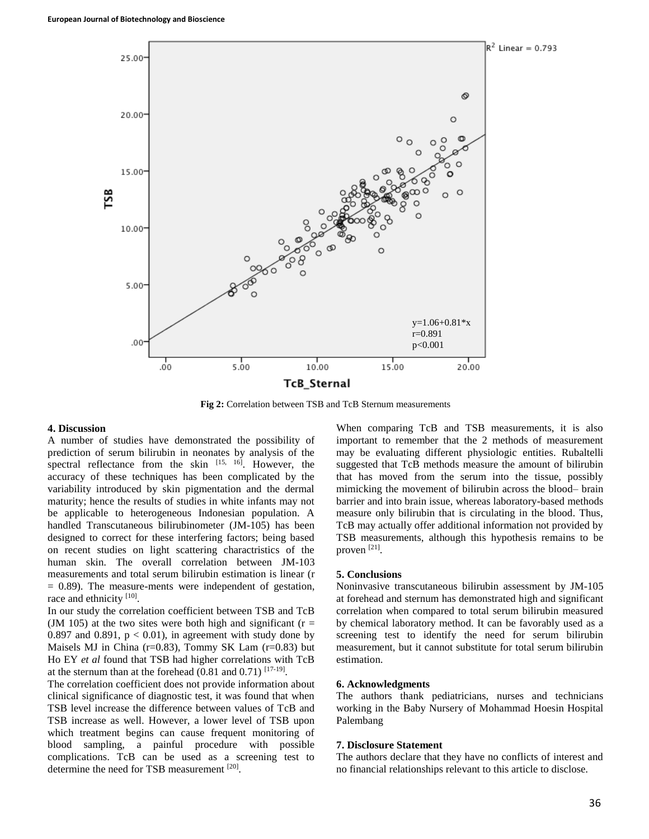

**Fig 2:** Correlation between TSB and TcB Sternum measurements

### **4. Discussion**

A number of studies have demonstrated the possibility of prediction of serum bilirubin in neonates by analysis of the spectral reflectance from the skin  $[15, 16]$ . However, the accuracy of these techniques has been complicated by the variability introduced by skin pigmentation and the dermal maturity; hence the results of studies in white infants may not be applicable to heterogeneous Indonesian population. A handled Transcutaneous bilirubinometer (JM-105) has been designed to correct for these interfering factors; being based on recent studies on light scattering charactristics of the human skin. The overall correlation between JM-103 measurements and total serum bilirubin estimation is linear (r  $= 0.89$ ). The measure-ments were independent of gestation, race and ethnicity [10].

In our study the correlation coefficient between TSB and TcB (JM 105) at the two sites were both high and significant ( $r =$ 0.897 and 0.891,  $p < 0.01$ ), in agreement with study done by Maisels MJ in China (r=0.83), Tommy SK Lam (r=0.83) but Ho EY *et al* found that TSB had higher correlations with TcB at the sternum than at the forehead  $(0.81$  and  $0.71)$  [17-19].

The correlation coefficient does not provide information about clinical significance of diagnostic test, it was found that when TSB level increase the difference between values of TcB and TSB increase as well. However, a lower level of TSB upon which treatment begins can cause frequent monitoring of blood sampling, a painful procedure with possible complications. TcB can be used as a screening test to determine the need for TSB measurement [20].

When comparing TcB and TSB measurements, it is also important to remember that the 2 methods of measurement may be evaluating different physiologic entities. Rubaltelli suggested that TcB methods measure the amount of bilirubin that has moved from the serum into the tissue, possibly mimicking the movement of bilirubin across the blood– brain barrier and into brain issue, whereas laboratory-based methods measure only bilirubin that is circulating in the blood. Thus, TcB may actually offer additional information not provided by TSB measurements, although this hypothesis remains to be proven [21].

## **5. Conclusions**

Noninvasive transcutaneous bilirubin assessment by JM-105 at forehead and sternum has demonstrated high and significant correlation when compared to total serum bilirubin measured by chemical laboratory method. It can be favorably used as a screening test to identify the need for serum bilirubin measurement, but it cannot substitute for total serum bilirubin estimation.

#### **6. Acknowledgments**

The authors thank pediatricians, nurses and technicians working in the Baby Nursery of Mohammad Hoesin Hospital Palembang

## **7. Disclosure Statement**

The authors declare that they have no conflicts of interest and no financial relationships relevant to this article to disclose.